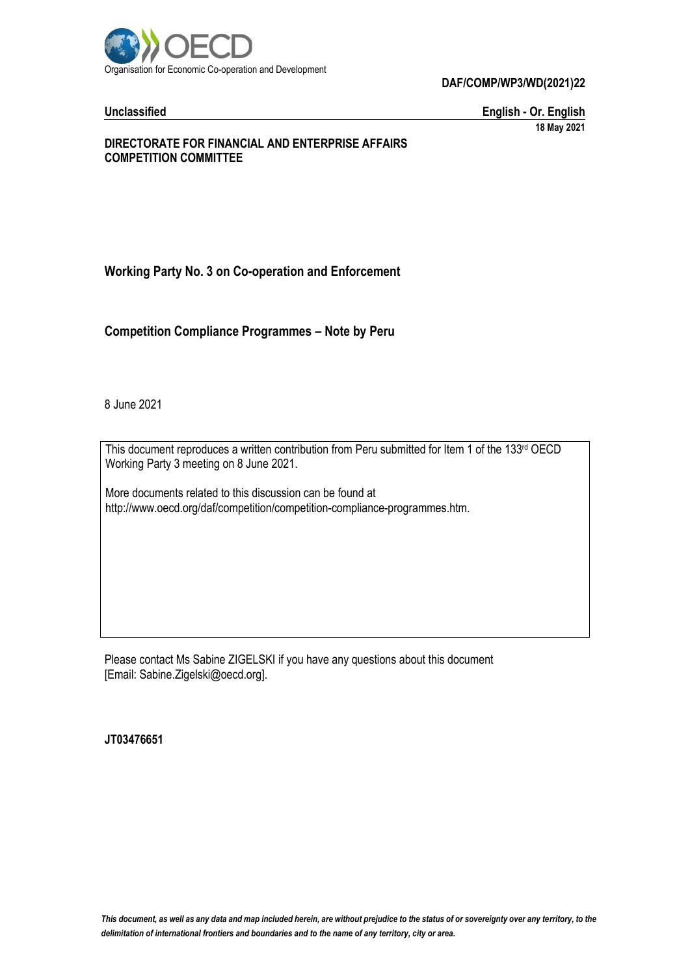

**DAF/COMP/WP3/WD(2021)22**

**Unclassified English - Or. English 18 May 2021**

### **DIRECTORATE FOR FINANCIAL AND ENTERPRISE AFFAIRS COMPETITION COMMITTEE**

# **Working Party No. 3 on Co-operation and Enforcement**

**Competition Compliance Programmes – Note by Peru**

8 June 2021

This document reproduces a written contribution from Peru submitted for Item 1 of the 133rd OECD Working Party 3 meeting on 8 June 2021.

More documents related to this discussion can be found at http://www.oecd.org/daf/competition/competition-compliance-programmes.htm.

Please contact Ms Sabine ZIGELSKI if you have any questions about this document [Email: Sabine.Zigelski@oecd.org].

**JT03476651**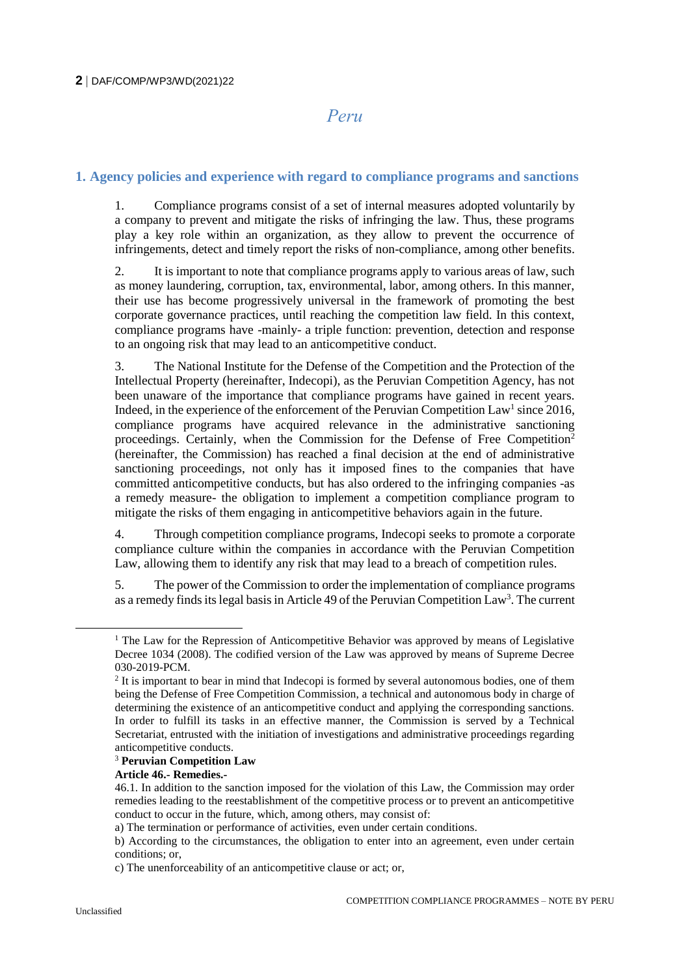# *Peru*

### **1. Agency policies and experience with regard to compliance programs and sanctions**

1. Compliance programs consist of a set of internal measures adopted voluntarily by a company to prevent and mitigate the risks of infringing the law. Thus, these programs play a key role within an organization, as they allow to prevent the occurrence of infringements, detect and timely report the risks of non-compliance, among other benefits.

2. It is important to note that compliance programs apply to various areas of law, such as money laundering, corruption, tax, environmental, labor, among others. In this manner, their use has become progressively universal in the framework of promoting the best corporate governance practices, until reaching the competition law field. In this context, compliance programs have -mainly- a triple function: prevention, detection and response to an ongoing risk that may lead to an anticompetitive conduct.

3. The National Institute for the Defense of the Competition and the Protection of the Intellectual Property (hereinafter, Indecopi), as the Peruvian Competition Agency, has not been unaware of the importance that compliance programs have gained in recent years. Indeed, in the experience of the enforcement of the Peruvian Competition Law<sup>1</sup> since 2016, compliance programs have acquired relevance in the administrative sanctioning proceedings. Certainly, when the Commission for the Defense of Free Competition<sup>2</sup> (hereinafter, the Commission) has reached a final decision at the end of administrative sanctioning proceedings, not only has it imposed fines to the companies that have committed anticompetitive conducts, but has also ordered to the infringing companies -as a remedy measure- the obligation to implement a competition compliance program to mitigate the risks of them engaging in anticompetitive behaviors again in the future.

4. Through competition compliance programs, Indecopi seeks to promote a corporate compliance culture within the companies in accordance with the Peruvian Competition Law, allowing them to identify any risk that may lead to a breach of competition rules.

5. The power of the Commission to order the implementation of compliance programs as a remedy finds its legal basis in Article 49 of the Peruvian Competition Law<sup>3</sup>. The current

#### <sup>3</sup> **Peruvian Competition Law**

#### **Article 46.- Remedies.-**

 $\overline{a}$ 

<sup>&</sup>lt;sup>1</sup> The Law for the Repression of Anticompetitive Behavior was approved by means of Legislative Decree 1034 (2008). The codified version of the Law was approved by means of Supreme Decree 030-2019-PCM.

 $2<sup>2</sup>$  It is important to bear in mind that Indecopi is formed by several autonomous bodies, one of them being the Defense of Free Competition Commission, a technical and autonomous body in charge of determining the existence of an anticompetitive conduct and applying the corresponding sanctions. In order to fulfill its tasks in an effective manner, the Commission is served by a Technical Secretariat, entrusted with the initiation of investigations and administrative proceedings regarding anticompetitive conducts.

<sup>46.1.</sup> In addition to the sanction imposed for the violation of this Law, the Commission may order remedies leading to the reestablishment of the competitive process or to prevent an anticompetitive conduct to occur in the future, which, among others, may consist of:

a) The termination or performance of activities, even under certain conditions.

b) According to the circumstances, the obligation to enter into an agreement, even under certain conditions; or,

c) The unenforceability of an anticompetitive clause or act; or,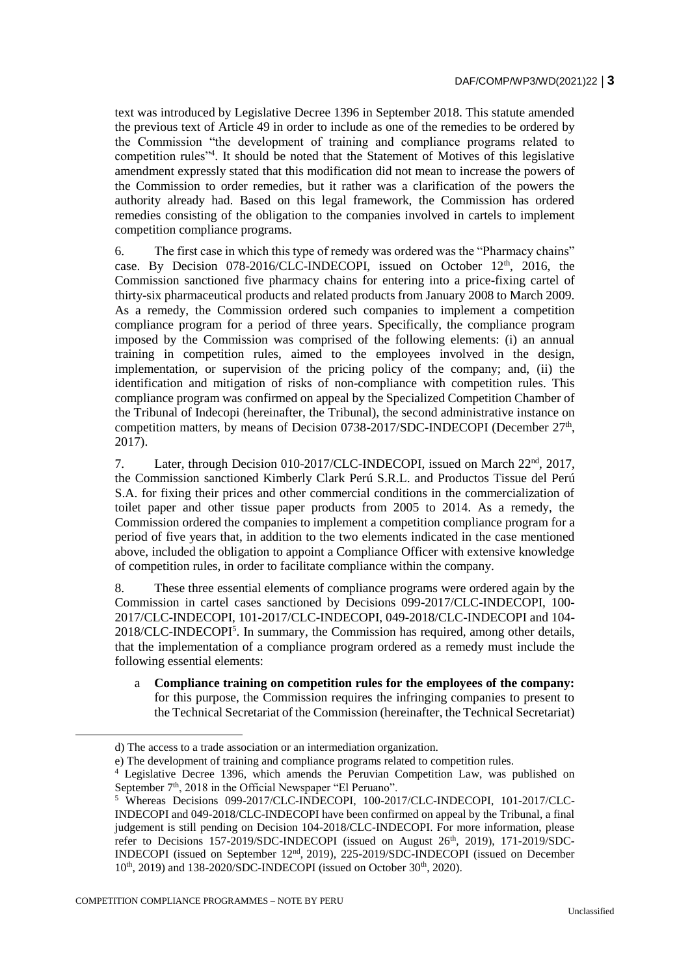text was introduced by Legislative Decree 1396 in September 2018. This statute amended the previous text of Article 49 in order to include as one of the remedies to be ordered by the Commission "the development of training and compliance programs related to competition rules"<sup>4</sup> . It should be noted that the Statement of Motives of this legislative amendment expressly stated that this modification did not mean to increase the powers of the Commission to order remedies, but it rather was a clarification of the powers the authority already had. Based on this legal framework, the Commission has ordered remedies consisting of the obligation to the companies involved in cartels to implement competition compliance programs.

6. The first case in which this type of remedy was ordered was the "Pharmacy chains" case. By Decision 078-2016/CLC-INDECOPI, issued on October  $12<sup>th</sup>$ , 2016, the Commission sanctioned five pharmacy chains for entering into a price-fixing cartel of thirty-six pharmaceutical products and related products from January 2008 to March 2009. As a remedy, the Commission ordered such companies to implement a competition compliance program for a period of three years. Specifically, the compliance program imposed by the Commission was comprised of the following elements: (i) an annual training in competition rules, aimed to the employees involved in the design, implementation, or supervision of the pricing policy of the company; and, (ii) the identification and mitigation of risks of non-compliance with competition rules. This compliance program was confirmed on appeal by the Specialized Competition Chamber of the Tribunal of Indecopi (hereinafter, the Tribunal), the second administrative instance on competition matters, by means of Decision 0738-2017/SDC-INDECOPI (December 27<sup>th</sup>, 2017).

7. Later, through Decision 010-2017/CLC-INDECOPI, issued on March 22nd, 2017, the Commission sanctioned Kimberly Clark Perú S.R.L. and Productos Tissue del Perú S.A. for fixing their prices and other commercial conditions in the commercialization of toilet paper and other tissue paper products from 2005 to 2014. As a remedy, the Commission ordered the companies to implement a competition compliance program for a period of five years that, in addition to the two elements indicated in the case mentioned above, included the obligation to appoint a Compliance Officer with extensive knowledge of competition rules, in order to facilitate compliance within the company.

8. These three essential elements of compliance programs were ordered again by the Commission in cartel cases sanctioned by Decisions 099-2017/CLC-INDECOPI, 100- 2017/CLC-INDECOPI, 101-2017/CLC-INDECOPI, 049-2018/CLC-INDECOPI and 104- 2018/CLC-INDECOPI<sup>5</sup> . In summary, the Commission has required, among other details, that the implementation of a compliance program ordered as a remedy must include the following essential elements:

a **Compliance training on competition rules for the employees of the company:**  for this purpose, the Commission requires the infringing companies to present to the Technical Secretariat of the Commission (hereinafter, the Technical Secretariat)

COMPETITION COMPLIANCE PROGRAMMES – NOTE BY PERU

d) The access to a trade association or an intermediation organization.

e) The development of training and compliance programs related to competition rules.

<sup>&</sup>lt;sup>4</sup> Legislative Decree 1396, which amends the Peruvian Competition Law, was published on September  $7<sup>th</sup>$ , 2018 in the Official Newspaper "El Peruano".<br>
<sup>5</sup> Whereas, Docisions 000, 2017 in The United States of the Mercano of the States of The States of The States of The States of The States of The States

<sup>5</sup> Whereas Decisions 099-2017/CLC-INDECOPI, 100-2017/CLC-INDECOPI, 101-2017/CLC-INDECOPI and 049-2018/CLC-INDECOPI have been confirmed on appeal by the Tribunal, a final judgement is still pending on Decision 104-2018/CLC-INDECOPI. For more information, please refer to Decisions  $157-2019/SDC-INDECOPI$  (issued on August  $26<sup>th</sup>$ ,  $2019$ ),  $171-2019/SDC-1$ INDECOPI (issued on September 12nd , 2019), 225-2019/SDC-INDECOPI (issued on December  $10<sup>th</sup>$ , 2019) and 138-2020/SDC-INDECOPI (issued on October 30<sup>th</sup>, 2020).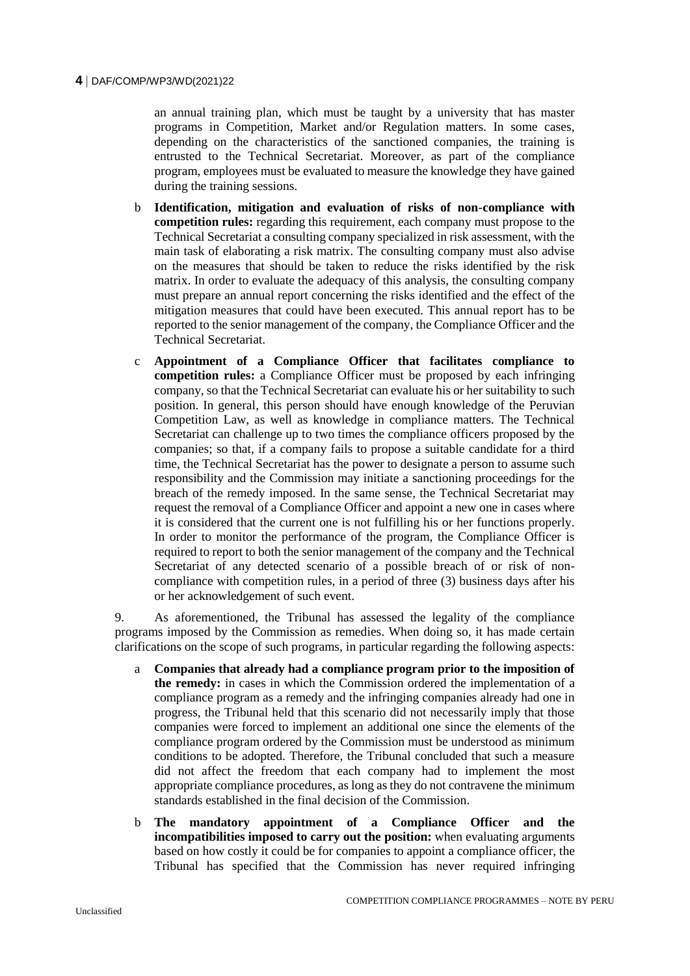an annual training plan, which must be taught by a university that has master programs in Competition, Market and/or Regulation matters. In some cases, depending on the characteristics of the sanctioned companies, the training is entrusted to the Technical Secretariat. Moreover, as part of the compliance program, employees must be evaluated to measure the knowledge they have gained during the training sessions.

- b **Identification, mitigation and evaluation of risks of non-compliance with competition rules:** regarding this requirement, each company must propose to the Technical Secretariat a consulting company specialized in risk assessment, with the main task of elaborating a risk matrix. The consulting company must also advise on the measures that should be taken to reduce the risks identified by the risk matrix. In order to evaluate the adequacy of this analysis, the consulting company must prepare an annual report concerning the risks identified and the effect of the mitigation measures that could have been executed. This annual report has to be reported to the senior management of the company, the Compliance Officer and the Technical Secretariat.
- c **Appointment of a Compliance Officer that facilitates compliance to competition rules:** a Compliance Officer must be proposed by each infringing company, so that the Technical Secretariat can evaluate his or her suitability to such position. In general, this person should have enough knowledge of the Peruvian Competition Law, as well as knowledge in compliance matters. The Technical Secretariat can challenge up to two times the compliance officers proposed by the companies; so that, if a company fails to propose a suitable candidate for a third time, the Technical Secretariat has the power to designate a person to assume such responsibility and the Commission may initiate a sanctioning proceedings for the breach of the remedy imposed. In the same sense, the Technical Secretariat may request the removal of a Compliance Officer and appoint a new one in cases where it is considered that the current one is not fulfilling his or her functions properly. In order to monitor the performance of the program, the Compliance Officer is required to report to both the senior management of the company and the Technical Secretariat of any detected scenario of a possible breach of or risk of noncompliance with competition rules, in a period of three (3) business days after his or her acknowledgement of such event.

9. As aforementioned, the Tribunal has assessed the legality of the compliance programs imposed by the Commission as remedies. When doing so, it has made certain clarifications on the scope of such programs, in particular regarding the following aspects:

- a **Companies that already had a compliance program prior to the imposition of the remedy:** in cases in which the Commission ordered the implementation of a compliance program as a remedy and the infringing companies already had one in progress, the Tribunal held that this scenario did not necessarily imply that those companies were forced to implement an additional one since the elements of the compliance program ordered by the Commission must be understood as minimum conditions to be adopted. Therefore, the Tribunal concluded that such a measure did not affect the freedom that each company had to implement the most appropriate compliance procedures, as long as they do not contravene the minimum standards established in the final decision of the Commission.
- b **The mandatory appointment of a Compliance Officer and the incompatibilities imposed to carry out the position:** when evaluating arguments based on how costly it could be for companies to appoint a compliance officer, the Tribunal has specified that the Commission has never required infringing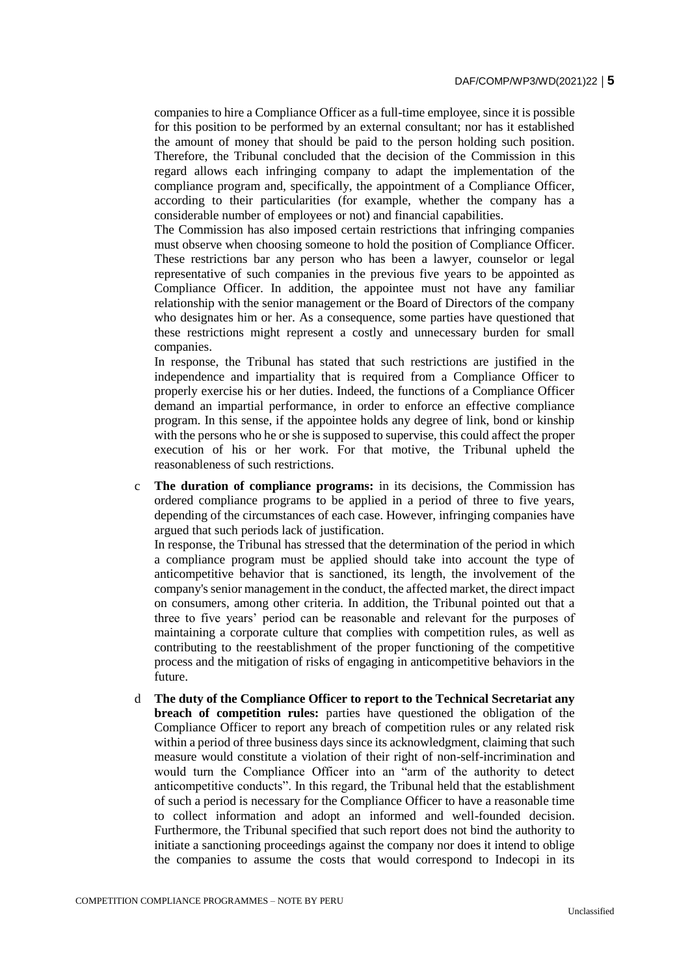companies to hire a Compliance Officer as a full-time employee, since it is possible for this position to be performed by an external consultant; nor has it established the amount of money that should be paid to the person holding such position. Therefore, the Tribunal concluded that the decision of the Commission in this regard allows each infringing company to adapt the implementation of the compliance program and, specifically, the appointment of a Compliance Officer, according to their particularities (for example, whether the company has a considerable number of employees or not) and financial capabilities.

The Commission has also imposed certain restrictions that infringing companies must observe when choosing someone to hold the position of Compliance Officer. These restrictions bar any person who has been a lawyer, counselor or legal representative of such companies in the previous five years to be appointed as Compliance Officer. In addition, the appointee must not have any familiar relationship with the senior management or the Board of Directors of the company who designates him or her. As a consequence, some parties have questioned that these restrictions might represent a costly and unnecessary burden for small companies.

In response, the Tribunal has stated that such restrictions are justified in the independence and impartiality that is required from a Compliance Officer to properly exercise his or her duties. Indeed, the functions of a Compliance Officer demand an impartial performance, in order to enforce an effective compliance program. In this sense, if the appointee holds any degree of link, bond or kinship with the persons who he or she is supposed to supervise, this could affect the proper execution of his or her work. For that motive, the Tribunal upheld the reasonableness of such restrictions.

c **The duration of compliance programs:** in its decisions, the Commission has ordered compliance programs to be applied in a period of three to five years, depending of the circumstances of each case. However, infringing companies have argued that such periods lack of justification.

In response, the Tribunal has stressed that the determination of the period in which a compliance program must be applied should take into account the type of anticompetitive behavior that is sanctioned, its length, the involvement of the company's senior management in the conduct, the affected market, the direct impact on consumers, among other criteria. In addition, the Tribunal pointed out that a three to five years' period can be reasonable and relevant for the purposes of maintaining a corporate culture that complies with competition rules, as well as contributing to the reestablishment of the proper functioning of the competitive process and the mitigation of risks of engaging in anticompetitive behaviors in the future.

d **The duty of the Compliance Officer to report to the Technical Secretariat any breach of competition rules:** parties have questioned the obligation of the Compliance Officer to report any breach of competition rules or any related risk within a period of three business days since its acknowledgment, claiming that such measure would constitute a violation of their right of non-self-incrimination and would turn the Compliance Officer into an "arm of the authority to detect anticompetitive conducts". In this regard, the Tribunal held that the establishment of such a period is necessary for the Compliance Officer to have a reasonable time to collect information and adopt an informed and well-founded decision. Furthermore, the Tribunal specified that such report does not bind the authority to initiate a sanctioning proceedings against the company nor does it intend to oblige the companies to assume the costs that would correspond to Indecopi in its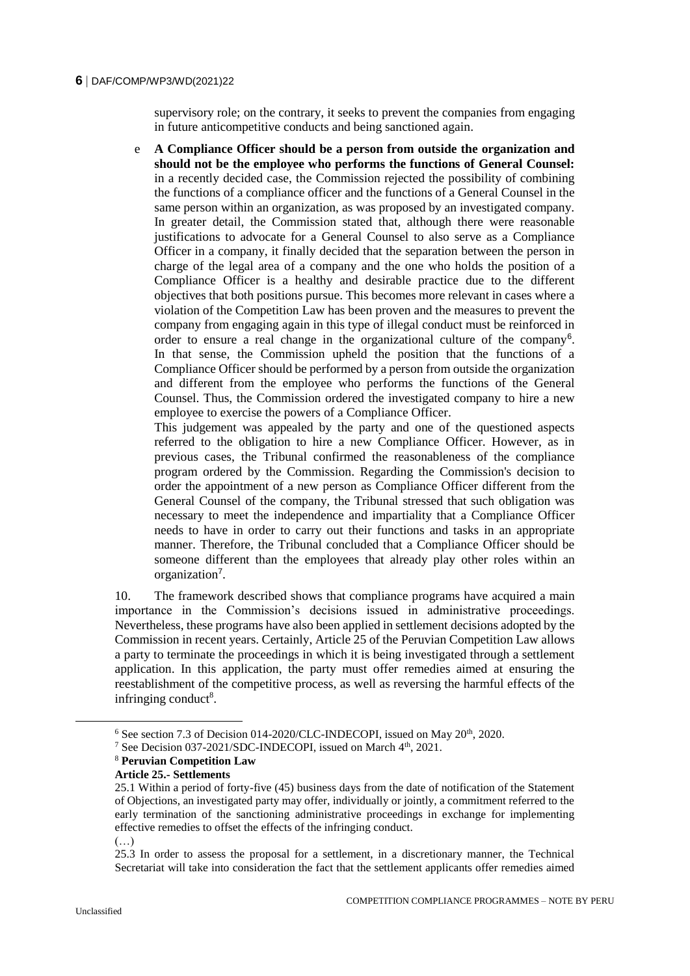#### **6** DAF/COMP/WP3/WD(2021)22

supervisory role; on the contrary, it seeks to prevent the companies from engaging in future anticompetitive conducts and being sanctioned again.

e **A Compliance Officer should be a person from outside the organization and should not be the employee who performs the functions of General Counsel:** in a recently decided case, the Commission rejected the possibility of combining the functions of a compliance officer and the functions of a General Counsel in the same person within an organization, as was proposed by an investigated company. In greater detail, the Commission stated that, although there were reasonable justifications to advocate for a General Counsel to also serve as a Compliance Officer in a company, it finally decided that the separation between the person in charge of the legal area of a company and the one who holds the position of a Compliance Officer is a healthy and desirable practice due to the different objectives that both positions pursue. This becomes more relevant in cases where a violation of the Competition Law has been proven and the measures to prevent the company from engaging again in this type of illegal conduct must be reinforced in order to ensure a real change in the organizational culture of the company<sup>6</sup> . In that sense, the Commission upheld the position that the functions of a Compliance Officer should be performed by a person from outside the organization and different from the employee who performs the functions of the General Counsel. Thus, the Commission ordered the investigated company to hire a new employee to exercise the powers of a Compliance Officer.

This judgement was appealed by the party and one of the questioned aspects referred to the obligation to hire a new Compliance Officer. However, as in previous cases, the Tribunal confirmed the reasonableness of the compliance program ordered by the Commission. Regarding the Commission's decision to order the appointment of a new person as Compliance Officer different from the General Counsel of the company, the Tribunal stressed that such obligation was necessary to meet the independence and impartiality that a Compliance Officer needs to have in order to carry out their functions and tasks in an appropriate manner. Therefore, the Tribunal concluded that a Compliance Officer should be someone different than the employees that already play other roles within an organization<sup>7</sup>.

10. The framework described shows that compliance programs have acquired a main importance in the Commission's decisions issued in administrative proceedings. Nevertheless, these programs have also been applied in settlement decisions adopted by the Commission in recent years. Certainly, Article 25 of the Peruvian Competition Law allows a party to terminate the proceedings in which it is being investigated through a settlement application. In this application, the party must offer remedies aimed at ensuring the reestablishment of the competitive process, as well as reversing the harmful effects of the infringing conduct<sup>8</sup>.

 $6$  See section 7.3 of Decision 014-2020/CLC-INDECOPI, issued on May 20<sup>th</sup>, 2020.

<sup>&</sup>lt;sup>7</sup> See Decision 037-2021/SDC-INDECOPI, issued on March 4<sup>th</sup>, 2021.

<sup>8</sup> **Peruvian Competition Law**

**Article 25.- Settlements** 

<sup>25.1</sup> Within a period of forty-five (45) business days from the date of notification of the Statement of Objections, an investigated party may offer, individually or jointly, a commitment referred to the early termination of the sanctioning administrative proceedings in exchange for implementing effective remedies to offset the effects of the infringing conduct.  $(\ldots)$ 

<sup>25.3</sup> In order to assess the proposal for a settlement, in a discretionary manner, the Technical Secretariat will take into consideration the fact that the settlement applicants offer remedies aimed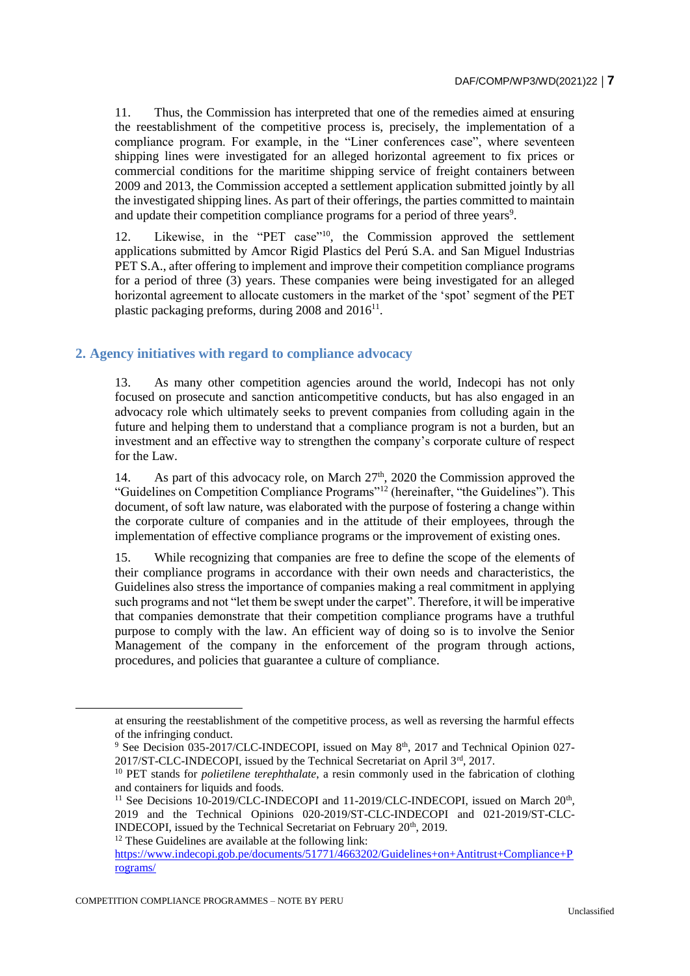11. Thus, the Commission has interpreted that one of the remedies aimed at ensuring the reestablishment of the competitive process is, precisely, the implementation of a compliance program. For example, in the "Liner conferences case", where seventeen shipping lines were investigated for an alleged horizontal agreement to fix prices or commercial conditions for the maritime shipping service of freight containers between 2009 and 2013, the Commission accepted a settlement application submitted jointly by all the investigated shipping lines. As part of their offerings, the parties committed to maintain and update their competition compliance programs for a period of three years<sup>9</sup>.

12. Likewise, in the "PET case"<sup>10</sup>, the Commission approved the settlement applications submitted by Amcor Rigid Plastics del Perú S.A. and San Miguel Industrias PET S.A., after offering to implement and improve their competition compliance programs for a period of three (3) years. These companies were being investigated for an alleged horizontal agreement to allocate customers in the market of the 'spot' segment of the PET plastic packaging preforms, during 2008 and 2016<sup>11</sup>.

# **2. Agency initiatives with regard to compliance advocacy**

13. As many other competition agencies around the world, Indecopi has not only focused on prosecute and sanction anticompetitive conducts, but has also engaged in an advocacy role which ultimately seeks to prevent companies from colluding again in the future and helping them to understand that a compliance program is not a burden, but an investment and an effective way to strengthen the company's corporate culture of respect for the Law.

14. As part of this advocacy role, on March  $27<sup>th</sup>$ , 2020 the Commission approved the "Guidelines on Competition Compliance Programs"<sup>12</sup> (hereinafter, "the Guidelines"). This document, of soft law nature, was elaborated with the purpose of fostering a change within the corporate culture of companies and in the attitude of their employees, through the implementation of effective compliance programs or the improvement of existing ones.

15. While recognizing that companies are free to define the scope of the elements of their compliance programs in accordance with their own needs and characteristics, the Guidelines also stress the importance of companies making a real commitment in applying such programs and not "let them be swept under the carpet". Therefore, it will be imperative that companies demonstrate that their competition compliance programs have a truthful purpose to comply with the law. An efficient way of doing so is to involve the Senior Management of the company in the enforcement of the program through actions, procedures, and policies that guarantee a culture of compliance.

<sup>12</sup> These Guidelines are available at the following link:

 $\overline{a}$ 

at ensuring the reestablishment of the competitive process, as well as reversing the harmful effects of the infringing conduct.

<sup>&</sup>lt;sup>9</sup> See Decision 035-2017/CLC-INDECOPI, issued on May 8<sup>th</sup>, 2017 and Technical Opinion 027-2017/ST-CLC-INDECOPI, issued by the Technical Secretariat on April 3rd, 2017.

<sup>&</sup>lt;sup>10</sup> PET stands for *polietilene terephthalate*, a resin commonly used in the fabrication of clothing and containers for liquids and foods.

<sup>&</sup>lt;sup>11</sup> See Decisions 10-2019/CLC-INDECOPI and 11-2019/CLC-INDECOPI, issued on March  $20<sup>th</sup>$ , 2019 and the Technical Opinions 020-2019/ST-CLC-INDECOPI and 021-2019/ST-CLC-INDECOPI, issued by the Technical Secretariat on February 20<sup>th</sup>, 2019.

[https://www.indecopi.gob.pe/documents/51771/4663202/Guidelines+on+Antitrust+Compliance+P](https://www.indecopi.gob.pe/documents/51771/4663202/Guidelines+on+Antitrust+Compliance+Programs/) [rograms/](https://www.indecopi.gob.pe/documents/51771/4663202/Guidelines+on+Antitrust+Compliance+Programs/)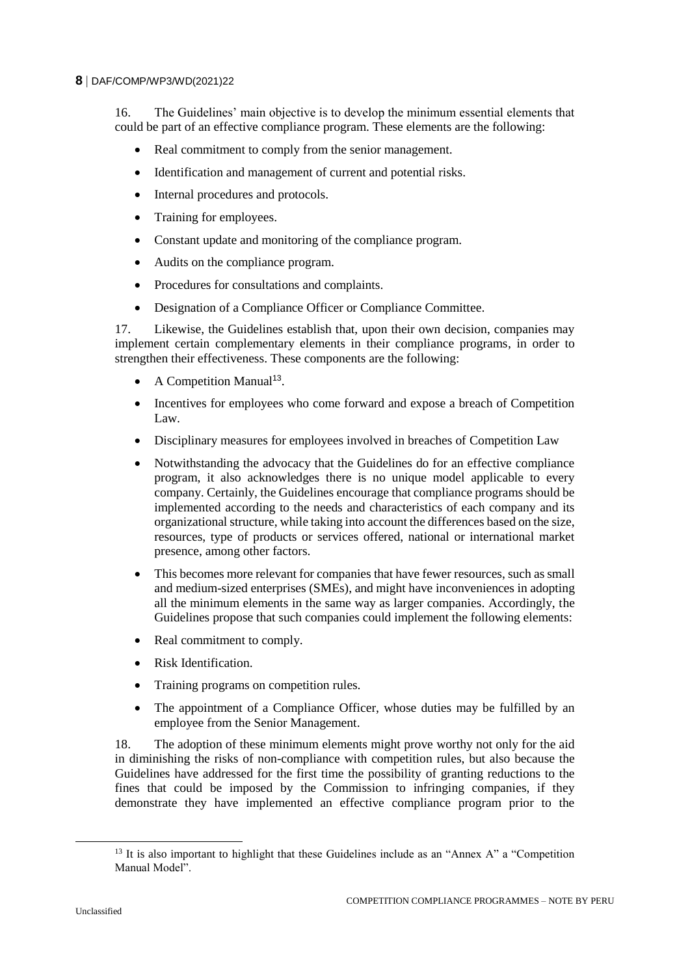#### **8** DAF/COMP/WP3/WD(2021)22

16. The Guidelines' main objective is to develop the minimum essential elements that could be part of an effective compliance program. These elements are the following:

- Real commitment to comply from the senior management.
- Identification and management of current and potential risks.
- Internal procedures and protocols.
- Training for employees.
- Constant update and monitoring of the compliance program.
- Audits on the compliance program.
- Procedures for consultations and complaints.
- Designation of a Compliance Officer or Compliance Committee.

17. Likewise, the Guidelines establish that, upon their own decision, companies may implement certain complementary elements in their compliance programs, in order to strengthen their effectiveness. These components are the following:

- $\bullet$  A Competition Manual<sup>13</sup>.
- Incentives for employees who come forward and expose a breach of Competition Law.
- Disciplinary measures for employees involved in breaches of Competition Law
- Notwithstanding the advocacy that the Guidelines do for an effective compliance program, it also acknowledges there is no unique model applicable to every company. Certainly, the Guidelines encourage that compliance programs should be implemented according to the needs and characteristics of each company and its organizational structure, while taking into account the differences based on the size, resources, type of products or services offered, national or international market presence, among other factors.
- This becomes more relevant for companies that have fewer resources, such as small and medium-sized enterprises (SMEs), and might have inconveniences in adopting all the minimum elements in the same way as larger companies. Accordingly, the Guidelines propose that such companies could implement the following elements:
- Real commitment to comply.
- Risk Identification.
- Training programs on competition rules.
- The appointment of a Compliance Officer, whose duties may be fulfilled by an employee from the Senior Management.

18. The adoption of these minimum elements might prove worthy not only for the aid in diminishing the risks of non-compliance with competition rules, but also because the Guidelines have addressed for the first time the possibility of granting reductions to the fines that could be imposed by the Commission to infringing companies, if they demonstrate they have implemented an effective compliance program prior to the

<sup>&</sup>lt;sup>13</sup> It is also important to highlight that these Guidelines include as an "Annex A" a "Competition" Manual Model".